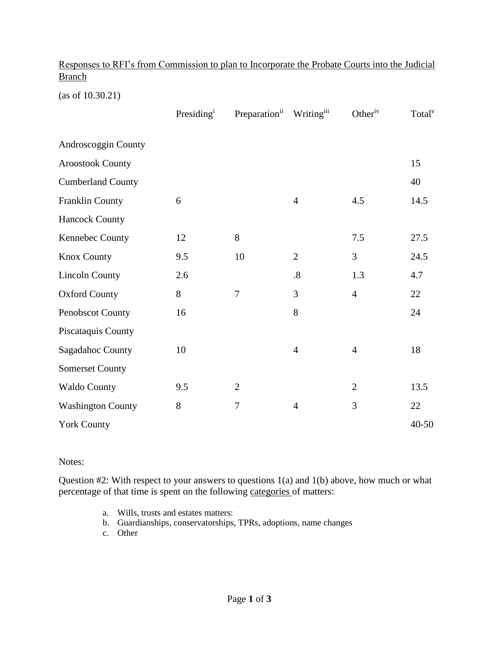|               | Responses to RFI's from Commission to plan to Incorporate the Probate Courts into the Judicial |  |  |  |
|---------------|------------------------------------------------------------------------------------------------|--|--|--|
| <b>Branch</b> |                                                                                                |  |  |  |

(as of 10.30.21)

|                          | Presiding <sup>i</sup> | Preparation <sup>ii</sup> | Writingiii        | Other <sup>iv</sup> | Total <sup>v</sup> |
|--------------------------|------------------------|---------------------------|-------------------|---------------------|--------------------|
| Androscoggin County      |                        |                           |                   |                     |                    |
| <b>Aroostook County</b>  |                        |                           |                   |                     | 15                 |
| <b>Cumberland County</b> |                        |                           |                   |                     | 40                 |
| Franklin County          | 6                      |                           | $\overline{4}$    | 4.5                 | 14.5               |
| <b>Hancock County</b>    |                        |                           |                   |                     |                    |
| Kennebec County          | 12                     | 8                         |                   | 7.5                 | 27.5               |
| <b>Knox County</b>       | 9.5                    | 10                        | $\overline{2}$    | $\overline{3}$      | 24.5               |
| <b>Lincoln County</b>    | 2.6                    |                           | $\boldsymbol{.8}$ | 1.3                 | 4.7                |
| <b>Oxford County</b>     | 8                      | $\tau$                    | 3                 | $\overline{4}$      | 22                 |
| Penobscot County         | 16                     |                           | 8                 |                     | 24                 |
| Piscataquis County       |                        |                           |                   |                     |                    |
| Sagadahoc County         | 10                     |                           | $\overline{4}$    | $\overline{4}$      | 18                 |
| <b>Somerset County</b>   |                        |                           |                   |                     |                    |
| <b>Waldo County</b>      | 9.5                    | $\overline{2}$            |                   | $\overline{2}$      | 13.5               |
| <b>Washington County</b> | 8                      | $\tau$                    | $\overline{4}$    | 3                   | 22                 |
| <b>York County</b>       |                        |                           |                   |                     | $40 - 50$          |

Notes:

Question #2: With respect to your answers to questions 1(a) and 1(b) above, how much or what percentage of that time is spent on the following categories of matters:

- a. Wills, trusts and estates matters:
- b. Guardianships, conservatorships, TPRs, adoptions, name changes
- c. Other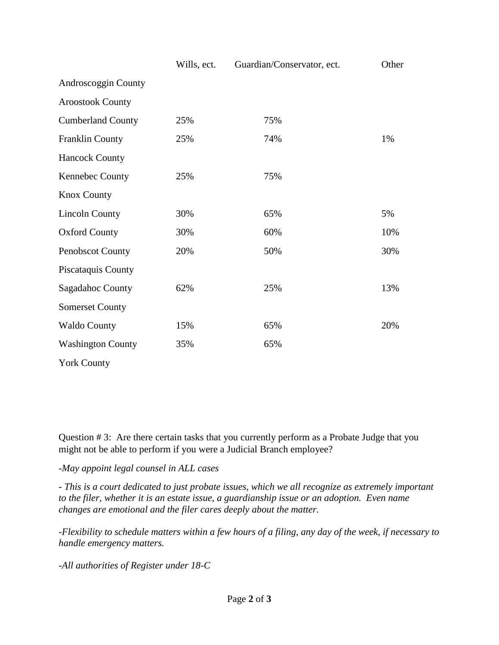|                          | Wills, ect. | Guardian/Conservator, ect. | Other |
|--------------------------|-------------|----------------------------|-------|
| Androscoggin County      |             |                            |       |
| <b>Aroostook County</b>  |             |                            |       |
| <b>Cumberland County</b> | 25%         | 75%                        |       |
| Franklin County          | 25%         | 74%                        | 1%    |
| <b>Hancock County</b>    |             |                            |       |
| Kennebec County          | 25%         | 75%                        |       |
| <b>Knox County</b>       |             |                            |       |
| <b>Lincoln County</b>    | 30%         | 65%                        | 5%    |
| <b>Oxford County</b>     | 30%         | 60%                        | 10%   |
| Penobscot County         | 20%         | 50%                        | 30%   |
| Piscataquis County       |             |                            |       |
| Sagadahoc County         | 62%         | 25%                        | 13%   |
| <b>Somerset County</b>   |             |                            |       |
| <b>Waldo County</b>      | 15%         | 65%                        | 20%   |
| <b>Washington County</b> | 35%         | 65%                        |       |
| <b>York County</b>       |             |                            |       |

Question # 3: Are there certain tasks that you currently perform as a Probate Judge that you might not be able to perform if you were a Judicial Branch employee?

*-May appoint legal counsel in ALL cases*

*- This is a court dedicated to just probate issues, which we all recognize as extremely important to the filer, whether it is an estate issue, a guardianship issue or an adoption. Even name changes are emotional and the filer cares deeply about the matter.* 

*-Flexibility to schedule matters within a few hours of a filing, any day of the week, if necessary to handle emergency matters.* 

*-All authorities of Register under 18-C*